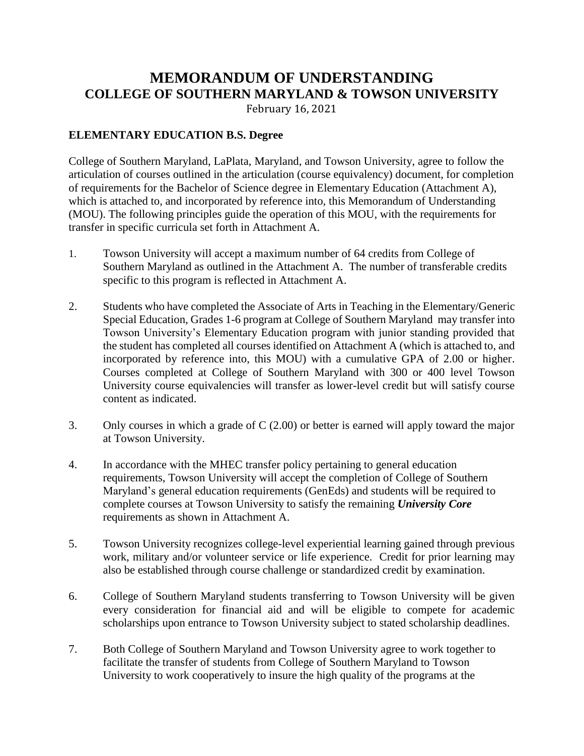## **MEMORANDUM OF UNDERSTANDING COLLEGE OF SOUTHERN MARYLAND & TOWSON UNIVERSITY**

February 16, 2021

## **ELEMENTARY EDUCATION B.S. Degree**

College of Southern Maryland, LaPlata, Maryland, and Towson University, agree to follow the articulation of courses outlined in the articulation (course equivalency) document, for completion of requirements for the Bachelor of Science degree in Elementary Education (Attachment A), which is attached to, and incorporated by reference into, this Memorandum of Understanding (MOU). The following principles guide the operation of this MOU, with the requirements for transfer in specific curricula set forth in Attachment A.

- 1. Towson University will accept a maximum number of 64 credits from College of Southern Maryland as outlined in the Attachment A. The number of transferable credits specific to this program is reflected in Attachment A.
- 2. Students who have completed the Associate of Arts in Teaching in the Elementary/Generic Special Education, Grades 1-6 program at College of Southern Maryland may transfer into Towson University's Elementary Education program with junior standing provided that the student has completed all courses identified on Attachment A (which is attached to, and incorporated by reference into, this MOU) with a cumulative GPA of 2.00 or higher. Courses completed at College of Southern Maryland with 300 or 400 level Towson University course equivalencies will transfer as lower-level credit but will satisfy course content as indicated.
- 3. Only courses in which a grade of C (2.00) or better is earned will apply toward the major at Towson University.
- 4. In accordance with the MHEC transfer policy pertaining to general education requirements, Towson University will accept the completion of College of Southern Maryland's general education requirements (GenEds) and students will be required to complete courses at Towson University to satisfy the remaining *University Core* requirements as shown in Attachment A.
- 5. Towson University recognizes college-level experiential learning gained through previous work, military and/or volunteer service or life experience. Credit for prior learning may also be established through course challenge or standardized credit by examination.
- 6. College of Southern Maryland students transferring to Towson University will be given every consideration for financial aid and will be eligible to compete for academic scholarships upon entrance to Towson University subject to stated scholarship deadlines.
- 7. Both College of Southern Maryland and Towson University agree to work together to facilitate the transfer of students from College of Southern Maryland to Towson University to work cooperatively to insure the high quality of the programs at the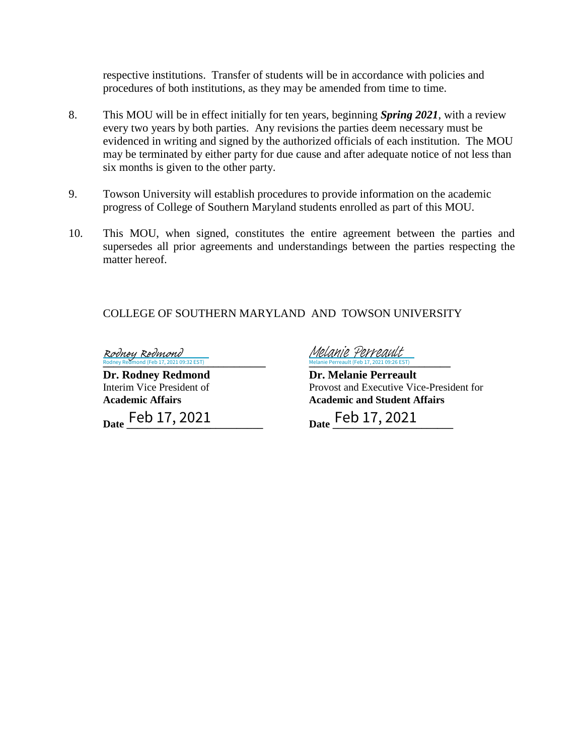respective institutions. Transfer of students will be in accordance with policies and procedures of both institutions, as they may be amended from time to time.

- 8. This MOU will be in effect initially for ten years, beginning *Spring 2021*, with a review every two years by both parties. Any revisions the parties deem necessary must be evidenced in writing and signed by the authorized officials of each institution. The MOU may be terminated by either party for due cause and after adequate notice of not less than six months is given to the other party.
- 9. Towson University will establish procedures to provide information on the academic progress of College of Southern Maryland students enrolled as part of this MOU.
- 10. This MOU, when signed, constitutes the entire agreement between the parties and supersedes all prior agreements and understandings between the parties respecting the matter hereof.

COLLEGE OF SOUTHERN MARYLAND AND TOWSON UNIVERSITY

Rodney Redmond (Feb 17, 2021 09:32 EST) Rodney Redmond

Date Feb 17, 2021

**Exercise 2018**<br> **Rodney Redmond (Feb 17, 2021 09:32 EST)**<br> **Melanie Perreault (Feb 17, 2021 09:26 EST)** Melanie Perreault (Feb 17, 2021 09:26 EST) [Melanie Perreault](https://na2.documents.adobe.com/verifier?tx=CBJCHBCAABAAgaIw9U4TeibbMKLgVyJb5DxFQEvsfoev)

**Dr. Rodney Redmond Dr. Melanie Perreault** Interim Vice President of Provost and Executive Vice-President for **Academic Affairs Academic and Student Affairs**

**Date \_\_\_\_\_\_\_\_\_\_\_\_\_\_\_\_\_\_\_\_\_\_\_\_\_\_ Date \_\_\_\_\_\_\_\_\_\_\_\_\_\_\_\_\_\_\_\_\_\_\_** Feb 17, 2021